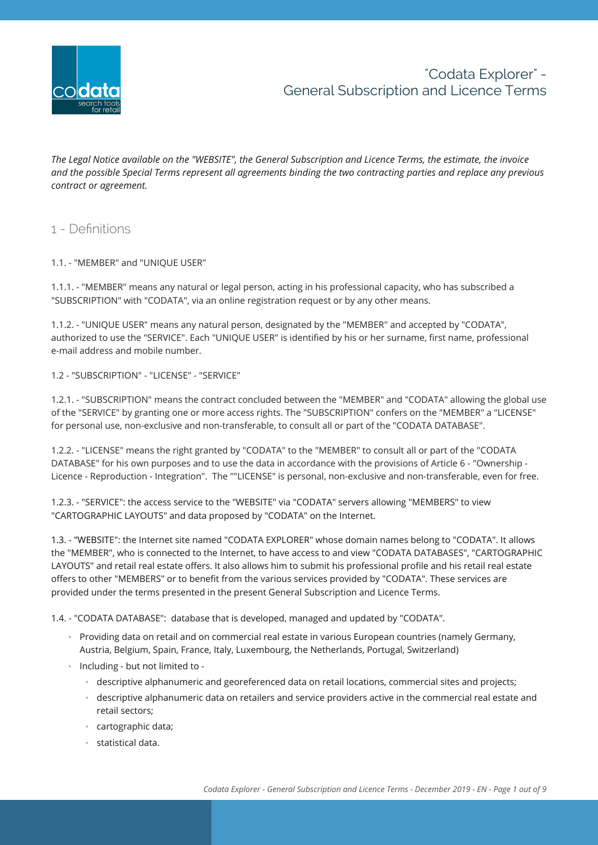

*The Legal Notice available on the "WEBSITE", the General Subscription and Licence Terms, the estimate, the invoice and the possible Special Terms represent all agreements binding the two contracting parties and replace any previous contract or agreement.*

## 1 - Definitions

#### 1.1. - "MEMBER" and "UNIQUE USER"

1.1.1. - "MEMBER" means any natural or legal person, acting in his professional capacity, who has subscribed a "SUBSCRIPTION" with "CODATA", via an online registration request or by any other means.

1.1.2. - "UNIQUE USER" means any natural person, designated by the "MEMBER" and accepted by "CODATA", authorized to use the "SERVICE". Each "UNIQUE USER" is identified by his or her surname, first name, professional e-mail address and mobile number.

#### 1.2 - "SUBSCRIPTION" - "LICENSE" - "SERVICE"

1.2.1. - "SUBSCRIPTION" means the contract concluded between the "MEMBER" and "CODATA" allowing the global use of the "SERVICE" by granting one or more access rights. The "SUBSCRIPTION" confers on the "MEMBER" a "LICENSE" for personal use, non-exclusive and non-transferable, to consult all or part of the "CODATA DATABASE".

1.2.2. - "LICENSE" means the right granted by "CODATA" to the "MEMBER" to consult all or part of the "CODATA DATABASE" for his own purposes and to use the data in accordance with the provisions of Article 6 - "Ownership - Licence - Reproduction - Integration". The ""LICENSE" is personal, non-exclusive and non-transferable, even for free.

1.2.3. - "SERVICE": the access service to the "WEBSITE" via "CODATA" servers allowing "MEMBERS" to view "CARTOGRAPHIC LAYOUTS" and data proposed by "CODATA" on the Internet.

1.3. - "WEBSITE": the Internet site named "CODATA EXPLORER" whose domain names belong to "CODATA". It allows the "MEMBER", who is connected to the Internet, to have access to and view "CODATA DATABASES", "CARTOGRAPHIC LAYOUTS" and retail real estate offers. It also allows him to submit his professional profile and his retail real estate offers to other "MEMBERS" or to benefit from the various services provided by "CODATA". These services are provided under the terms presented in the present General Subscription and Licence Terms.

1.4. - "CODATA DATABASE": database that is developed, managed and updated by "CODATA".

- Providing data on retail and on commercial real estate in various European countries (namely Germany, Austria, Belgium, Spain, France, Italy, Luxembourg, the Netherlands, Portugal, Switzerland)
- Including but not limited to
	- descriptive alphanumeric and georeferenced data on retail locations, commercial sites and projects;
	- descriptive alphanumeric data on retailers and service providers active in the commercial real estate and retail sectors;
	- cartographic data;
	- statistical data.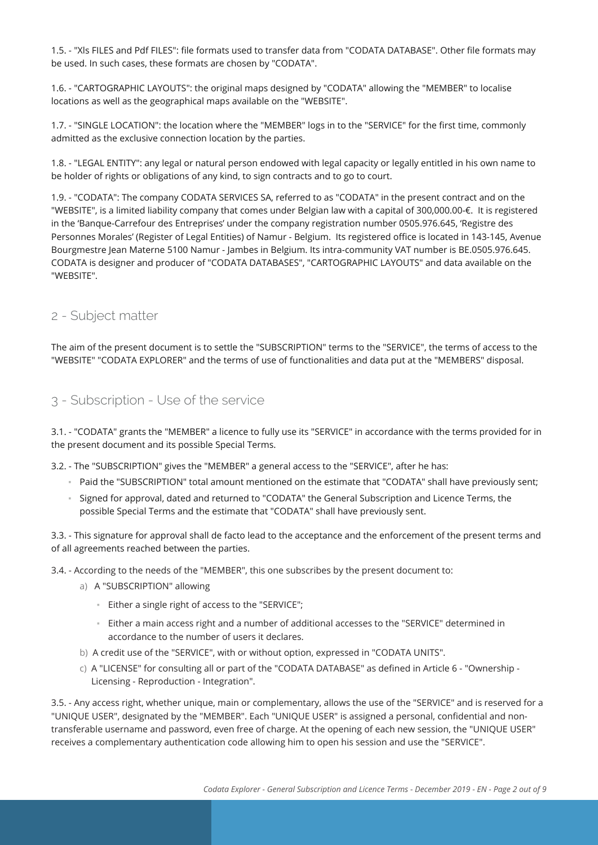1.5. - "Xls FILES and Pdf FILES": file formats used to transfer data from "CODATA DATABASE". Other file formats may be used. In such cases, these formats are chosen by "CODATA".

1.6. - "CARTOGRAPHIC LAYOUTS": the original maps designed by "CODATA" allowing the "MEMBER" to localise locations as well as the geographical maps available on the "WEBSITE".

1.7. - "SINGLE LOCATION": the location where the "MEMBER" logs in to the "SERVICE" for the first time, commonly admitted as the exclusive connection location by the parties.

1.8. - "LEGAL ENTITY": any legal or natural person endowed with legal capacity or legally entitled in his own name to be holder of rights or obligations of any kind, to sign contracts and to go to court.

1.9. - "CODATA": The company CODATA SERVICES SA, referred to as "CODATA" in the present contract and on the "WEBSITE", is a limited liability company that comes under Belgian law with a capital of 300,000.00-€. It is registered in the 'Banque-Carrefour des Entreprises' under the company registration number 0505.976.645, 'Registre des Personnes Morales' (Register of Legal Entities) of Namur - Belgium. Its registered office is located in 143-145, Avenue Bourgmestre Jean Materne 5100 Namur - Jambes in Belgium. Its intra-community VAT number is BE.0505.976.645. CODATA is designer and producer of "CODATA DATABASES", "CARTOGRAPHIC LAYOUTS" and data available on the "WEBSITE".

## 2 - Subject matter

The aim of the present document is to settle the "SUBSCRIPTION" terms to the "SERVICE", the terms of access to the "WEBSITE" "CODATA EXPLORER" and the terms of use of functionalities and data put at the "MEMBERS" disposal.

## 3 - Subscription - Use of the service

3.1. - "CODATA" grants the "MEMBER" a licence to fully use its "SERVICE" in accordance with the terms provided for in the present document and its possible Special Terms.

3.2. - The "SUBSCRIPTION" gives the "MEMBER" a general access to the "SERVICE", after he has:

- Paid the "SUBSCRIPTION" total amount mentioned on the estimate that "CODATA" shall have previously sent;
- Signed for approval, dated and returned to "CODATA" the General Subscription and Licence Terms, the possible Special Terms and the estimate that "CODATA" shall have previously sent.

3.3. - This signature for approval shall de facto lead to the acceptance and the enforcement of the present terms and of all agreements reached between the parties.

3.4. - According to the needs of the "MEMBER", this one subscribes by the present document to:

- a) A "SUBSCRIPTION" allowing
	- Either a single right of access to the "SERVICE";
	- Either a main access right and a number of additional accesses to the "SERVICE" determined in accordance to the number of users it declares.
- b) A credit use of the "SERVICE", with or without option, expressed in "CODATA UNITS".
- c) A "LICENSE" for consulting all or part of the "CODATA DATABASE" as defined in Article 6 "Ownership Licensing - Reproduction - Integration".

3.5. - Any access right, whether unique, main or complementary, allows the use of the "SERVICE" and is reserved for a "UNIQUE USER", designated by the "MEMBER". Each "UNIQUE USER" is assigned a personal, confidential and nontransferable username and password, even free of charge. At the opening of each new session, the "UNIQUE USER" receives a complementary authentication code allowing him to open his session and use the "SERVICE".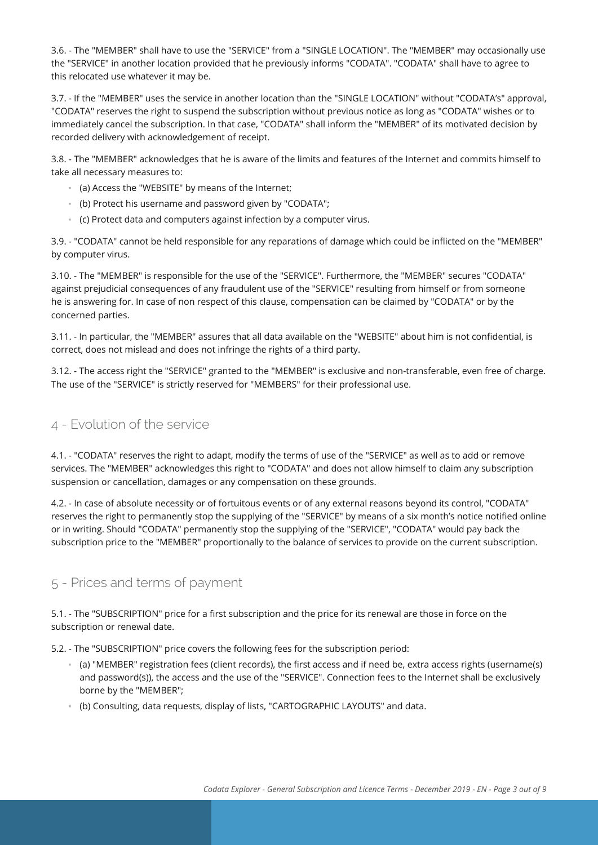3.6. - The "MEMBER" shall have to use the "SERVICE" from a "SINGLE LOCATION". The "MEMBER" may occasionally use the "SERVICE" in another location provided that he previously informs "CODATA". "CODATA" shall have to agree to this relocated use whatever it may be.

3.7. - If the "MEMBER" uses the service in another location than the "SINGLE LOCATION" without "CODATA's" approval, "CODATA" reserves the right to suspend the subscription without previous notice as long as "CODATA" wishes or to immediately cancel the subscription. In that case, "CODATA" shall inform the "MEMBER" of its motivated decision by recorded delivery with acknowledgement of receipt.

3.8. - The "MEMBER" acknowledges that he is aware of the limits and features of the Internet and commits himself to take all necessary measures to:

- (a) Access the "WEBSITE" by means of the Internet;
- (b) Protect his username and password given by "CODATA";
- (c) Protect data and computers against infection by a computer virus.

3.9. - "CODATA" cannot be held responsible for any reparations of damage which could be inflicted on the "MEMBER" by computer virus.

3.10. - The "MEMBER" is responsible for the use of the "SERVICE". Furthermore, the "MEMBER" secures "CODATA" against prejudicial consequences of any fraudulent use of the "SERVICE" resulting from himself or from someone he is answering for. In case of non respect of this clause, compensation can be claimed by "CODATA" or by the concerned parties.

3.11. - In particular, the "MEMBER" assures that all data available on the "WEBSITE" about him is not confidential, is correct, does not mislead and does not infringe the rights of a third party.

3.12. - The access right the "SERVICE" granted to the "MEMBER" is exclusive and non-transferable, even free of charge. The use of the "SERVICE" is strictly reserved for "MEMBERS" for their professional use.

# 4 - Evolution of the service

4.1. - "CODATA" reserves the right to adapt, modify the terms of use of the "SERVICE" as well as to add or remove services. The "MEMBER" acknowledges this right to "CODATA" and does not allow himself to claim any subscription suspension or cancellation, damages or any compensation on these grounds.

4.2. - In case of absolute necessity or of fortuitous events or of any external reasons beyond its control, "CODATA" reserves the right to permanently stop the supplying of the "SERVICE" by means of a six month's notice notified online or in writing. Should "CODATA" permanently stop the supplying of the "SERVICE", "CODATA" would pay back the subscription price to the "MEMBER" proportionally to the balance of services to provide on the current subscription.

# 5 - Prices and terms of payment

5.1. - The "SUBSCRIPTION" price for a first subscription and the price for its renewal are those in force on the subscription or renewal date.

5.2. - The "SUBSCRIPTION" price covers the following fees for the subscription period:

- (a) "MEMBER" registration fees (client records), the first access and if need be, extra access rights (username(s) and password(s)), the access and the use of the "SERVICE". Connection fees to the Internet shall be exclusively borne by the "MEMBER";
- (b) Consulting, data requests, display of lists, "CARTOGRAPHIC LAYOUTS" and data.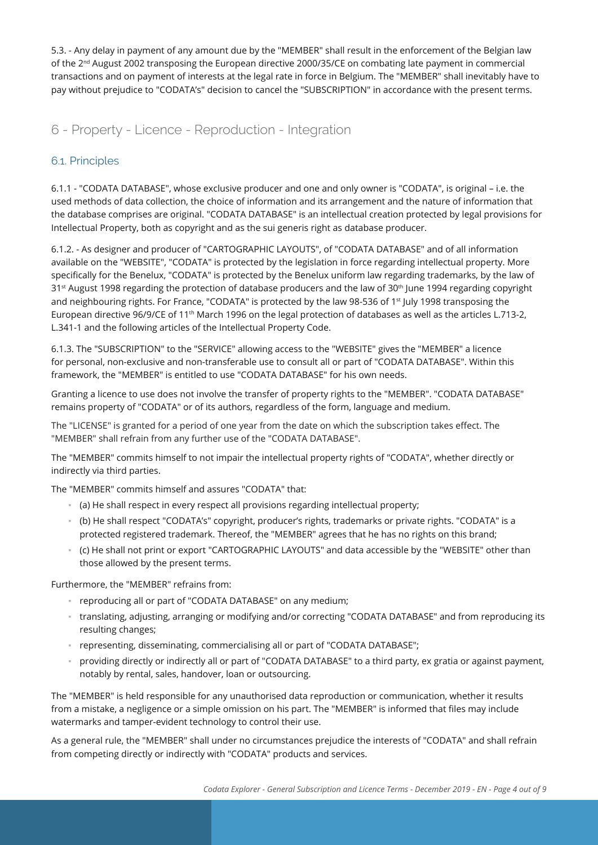5.3. - Any delay in payment of any amount due by the "MEMBER" shall result in the enforcement of the Belgian law of the 2<sup>nd</sup> August 2002 transposing the European directive 2000/35/CE on combating late payment in commercial transactions and on payment of interests at the legal rate in force in Belgium. The "MEMBER" shall inevitably have to pay without prejudice to "CODATA's" decision to cancel the "SUBSCRIPTION" in accordance with the present terms.

6 - Property - Licence - Reproduction - Integration

## 6.1. Principles

6.1.1 - "CODATA DATABASE", whose exclusive producer and one and only owner is "CODATA", is original – i.e. the used methods of data collection, the choice of information and its arrangement and the nature of information that the database comprises are original. "CODATA DATABASE" is an intellectual creation protected by legal provisions for Intellectual Property, both as copyright and as the sui generis right as database producer.

6.1.2. - As designer and producer of "CARTOGRAPHIC LAYOUTS", of "CODATA DATABASE" and of all information available on the "WEBSITE", "CODATA" is protected by the legislation in force regarding intellectual property. More specifically for the Benelux, "CODATA" is protected by the Benelux uniform law regarding trademarks, by the law of 31st August 1998 regarding the protection of database producers and the law of 30<sup>th</sup> June 1994 regarding copyright and neighbouring rights. For France, "CODATA" is protected by the law 98-536 of 1<sup>st</sup> July 1998 transposing the European directive 96/9/CE of 11<sup>th</sup> March 1996 on the legal protection of databases as well as the articles L.713-2, L.341-1 and the following articles of the Intellectual Property Code.

6.1.3. The "SUBSCRIPTION" to the "SERVICE" allowing access to the "WEBSITE" gives the "MEMBER" a licence for personal, non-exclusive and non-transferable use to consult all or part of "CODATA DATABASE". Within this framework, the "MEMBER" is entitled to use "CODATA DATABASE" for his own needs.

Granting a licence to use does not involve the transfer of property rights to the "MEMBER". "CODATA DATABASE" remains property of "CODATA" or of its authors, regardless of the form, language and medium.

The "LICENSE" is granted for a period of one year from the date on which the subscription takes effect. The "MEMBER" shall refrain from any further use of the "CODATA DATABASE".

The "MEMBER" commits himself to not impair the intellectual property rights of "CODATA", whether directly or indirectly via third parties.

The "MEMBER" commits himself and assures "CODATA" that:

- (a) He shall respect in every respect all provisions regarding intellectual property;
- (b) He shall respect "CODATA's" copyright, producer's rights, trademarks or private rights. "CODATA" is a protected registered trademark. Thereof, the "MEMBER" agrees that he has no rights on this brand;
- (c) He shall not print or export "CARTOGRAPHIC LAYOUTS" and data accessible by the "WEBSITE" other than those allowed by the present terms.

Furthermore, the "MEMBER" refrains from:

- reproducing all or part of "CODATA DATABASE" on any medium;
- translating, adjusting, arranging or modifying and/or correcting "CODATA DATABASE" and from reproducing its resulting changes;
- representing, disseminating, commercialising all or part of "CODATA DATABASE";
- providing directly or indirectly all or part of "CODATA DATABASE" to a third party, ex gratia or against payment, notably by rental, sales, handover, loan or outsourcing.

The "MEMBER" is held responsible for any unauthorised data reproduction or communication, whether it results from a mistake, a negligence or a simple omission on his part. The "MEMBER" is informed that files may include watermarks and tamper-evident technology to control their use.

As a general rule, the "MEMBER" shall under no circumstances prejudice the interests of "CODATA" and shall refrain from competing directly or indirectly with "CODATA" products and services.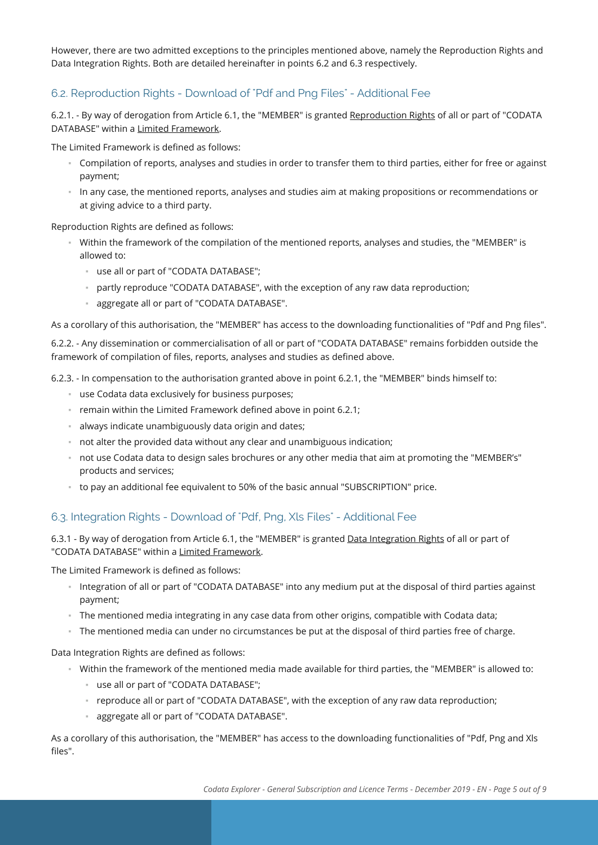However, there are two admitted exceptions to the principles mentioned above, namely the Reproduction Rights and Data Integration Rights. Both are detailed hereinafter in points 6.2 and 6.3 respectively.

### 6.2. Reproduction Rights - Download of "Pdf and Png Files" - Additional Fee

6.2.1. - By way of derogation from Article 6.1, the "MEMBER" is granted Reproduction Rights of all or part of "CODATA DATABASE" within a Limited Framework.

The Limited Framework is defined as follows:

- Compilation of reports, analyses and studies in order to transfer them to third parties, either for free or against payment;
- In any case, the mentioned reports, analyses and studies aim at making propositions or recommendations or at giving advice to a third party.

Reproduction Rights are defined as follows:

- Within the framework of the compilation of the mentioned reports, analyses and studies, the "MEMBER" is allowed to:
	- use all or part of "CODATA DATABASE";
	- partly reproduce "CODATA DATABASE", with the exception of any raw data reproduction;
	- aggregate all or part of "CODATA DATABASE".

As a corollary of this authorisation, the "MEMBER" has access to the downloading functionalities of "Pdf and Png files".

6.2.2. - Any dissemination or commercialisation of all or part of "CODATA DATABASE" remains forbidden outside the framework of compilation of files, reports, analyses and studies as defined above.

6.2.3. - In compensation to the authorisation granted above in point 6.2.1, the "MEMBER" binds himself to:

- use Codata data exclusively for business purposes;
- remain within the Limited Framework defined above in point 6.2.1;
- always indicate unambiguously data origin and dates;
- not alter the provided data without any clear and unambiguous indication;
- not use Codata data to design sales brochures or any other media that aim at promoting the "MEMBER's" products and services;
- to pay an additional fee equivalent to 50% of the basic annual "SUBSCRIPTION" price.

#### 6.3. Integration Rights - Download of "Pdf, Png, Xls Files" - Additional Fee

6.3.1 - By way of derogation from Article 6.1, the "MEMBER" is granted Data Integration Rights of all or part of "CODATA DATABASE" within a Limited Framework.

The Limited Framework is defined as follows:

- Integration of all or part of "CODATA DATABASE" into any medium put at the disposal of third parties against payment;
- The mentioned media integrating in any case data from other origins, compatible with Codata data;
- The mentioned media can under no circumstances be put at the disposal of third parties free of charge.

Data Integration Rights are defined as follows:

- Within the framework of the mentioned media made available for third parties, the "MEMBER" is allowed to:
	- use all or part of "CODATA DATABASE";
	- reproduce all or part of "CODATA DATABASE", with the exception of any raw data reproduction;
	- aggregate all or part of "CODATA DATABASE".

As a corollary of this authorisation, the "MEMBER" has access to the downloading functionalities of "Pdf, Png and Xls files".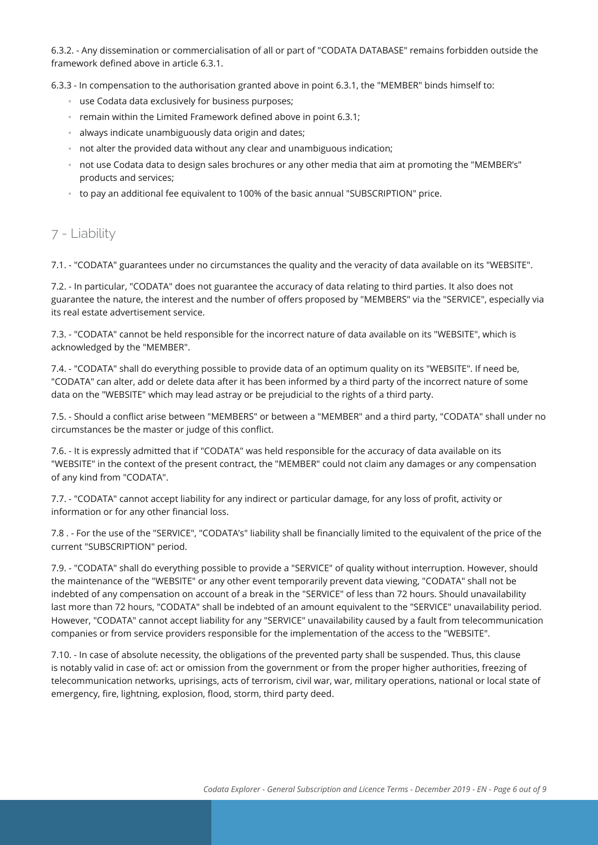6.3.2. - Any dissemination or commercialisation of all or part of "CODATA DATABASE" remains forbidden outside the framework defined above in article 6.3.1.

6.3.3 - In compensation to the authorisation granted above in point 6.3.1, the "MEMBER" binds himself to:

- use Codata data exclusively for business purposes;
- remain within the Limited Framework defined above in point 6.3.1;
- always indicate unambiguously data origin and dates;
- not alter the provided data without any clear and unambiguous indication;
- not use Codata data to design sales brochures or any other media that aim at promoting the "MEMBER's" products and services;
- to pay an additional fee equivalent to 100% of the basic annual "SUBSCRIPTION" price.

# 7 - Liability

7.1. - "CODATA" guarantees under no circumstances the quality and the veracity of data available on its "WEBSITE".

7.2. - In particular, "CODATA" does not guarantee the accuracy of data relating to third parties. It also does not guarantee the nature, the interest and the number of offers proposed by "MEMBERS" via the "SERVICE", especially via its real estate advertisement service.

7.3. - "CODATA" cannot be held responsible for the incorrect nature of data available on its "WEBSITE", which is acknowledged by the "MEMBER".

7.4. - "CODATA" shall do everything possible to provide data of an optimum quality on its "WEBSITE". If need be, "CODATA" can alter, add or delete data after it has been informed by a third party of the incorrect nature of some data on the "WEBSITE" which may lead astray or be prejudicial to the rights of a third party.

7.5. - Should a conflict arise between "MEMBERS" or between a "MEMBER" and a third party, "CODATA" shall under no circumstances be the master or judge of this conflict.

7.6. - It is expressly admitted that if "CODATA" was held responsible for the accuracy of data available on its "WEBSITE" in the context of the present contract, the "MEMBER" could not claim any damages or any compensation of any kind from "CODATA".

7.7. - "CODATA" cannot accept liability for any indirect or particular damage, for any loss of profit, activity or information or for any other financial loss.

7.8 . - For the use of the "SERVICE", "CODATA's" liability shall be financially limited to the equivalent of the price of the current "SUBSCRIPTION" period.

7.9. - "CODATA" shall do everything possible to provide a "SERVICE" of quality without interruption. However, should the maintenance of the "WEBSITE" or any other event temporarily prevent data viewing, "CODATA" shall not be indebted of any compensation on account of a break in the "SERVICE" of less than 72 hours. Should unavailability last more than 72 hours, "CODATA" shall be indebted of an amount equivalent to the "SERVICE" unavailability period. However, "CODATA" cannot accept liability for any "SERVICE" unavailability caused by a fault from telecommunication companies or from service providers responsible for the implementation of the access to the "WEBSITE".

7.10. - In case of absolute necessity, the obligations of the prevented party shall be suspended. Thus, this clause is notably valid in case of: act or omission from the government or from the proper higher authorities, freezing of telecommunication networks, uprisings, acts of terrorism, civil war, war, military operations, national or local state of emergency, fire, lightning, explosion, flood, storm, third party deed.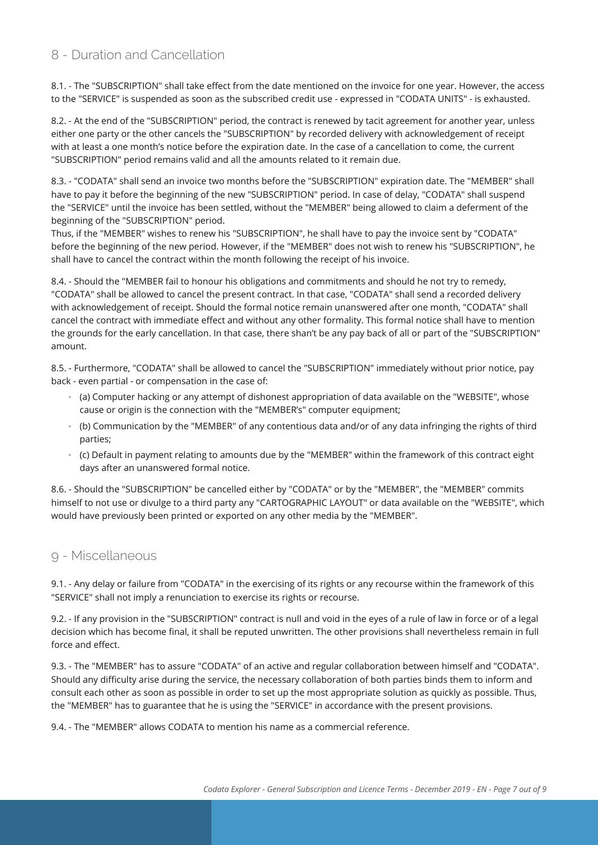# 8 - Duration and Cancellation

8.1. - The "SUBSCRIPTION" shall take effect from the date mentioned on the invoice for one year. However, the access to the "SERVICE" is suspended as soon as the subscribed credit use - expressed in "CODATA UNITS" - is exhausted.

8.2. - At the end of the "SUBSCRIPTION" period, the contract is renewed by tacit agreement for another year, unless either one party or the other cancels the "SUBSCRIPTION" by recorded delivery with acknowledgement of receipt with at least a one month's notice before the expiration date. In the case of a cancellation to come, the current "SUBSCRIPTION" period remains valid and all the amounts related to it remain due.

8.3. - "CODATA" shall send an invoice two months before the "SUBSCRIPTION" expiration date. The "MEMBER" shall have to pay it before the beginning of the new "SUBSCRIPTION" period. In case of delay, "CODATA" shall suspend the "SERVICE" until the invoice has been settled, without the "MEMBER" being allowed to claim a deferment of the beginning of the "SUBSCRIPTION" period.

Thus, if the "MEMBER" wishes to renew his "SUBSCRIPTION", he shall have to pay the invoice sent by "CODATA" before the beginning of the new period. However, if the "MEMBER" does not wish to renew his "SUBSCRIPTION", he shall have to cancel the contract within the month following the receipt of his invoice.

8.4. - Should the "MEMBER fail to honour his obligations and commitments and should he not try to remedy, "CODATA" shall be allowed to cancel the present contract. In that case, "CODATA" shall send a recorded delivery with acknowledgement of receipt. Should the formal notice remain unanswered after one month, "CODATA" shall cancel the contract with immediate effect and without any other formality. This formal notice shall have to mention the grounds for the early cancellation. In that case, there shan't be any pay back of all or part of the "SUBSCRIPTION" amount.

8.5. - Furthermore, "CODATA" shall be allowed to cancel the "SUBSCRIPTION" immediately without prior notice, pay back - even partial - or compensation in the case of:

- (a) Computer hacking or any attempt of dishonest appropriation of data available on the "WEBSITE", whose cause or origin is the connection with the "MEMBER's" computer equipment;
- (b) Communication by the "MEMBER" of any contentious data and/or of any data infringing the rights of third parties;
- (c) Default in payment relating to amounts due by the "MEMBER" within the framework of this contract eight days after an unanswered formal notice.

8.6. - Should the "SUBSCRIPTION" be cancelled either by "CODATA" or by the "MEMBER", the "MEMBER" commits himself to not use or divulge to a third party any "CARTOGRAPHIC LAYOUT" or data available on the "WEBSITE", which would have previously been printed or exported on any other media by the "MEMBER".

## 9 - Miscellaneous

9.1. - Any delay or failure from "CODATA" in the exercising of its rights or any recourse within the framework of this "SERVICE" shall not imply a renunciation to exercise its rights or recourse.

9.2. - If any provision in the "SUBSCRIPTION" contract is null and void in the eyes of a rule of law in force or of a legal decision which has become final, it shall be reputed unwritten. The other provisions shall nevertheless remain in full force and effect.

9.3. - The "MEMBER" has to assure "CODATA" of an active and regular collaboration between himself and "CODATA". Should any difficulty arise during the service, the necessary collaboration of both parties binds them to inform and consult each other as soon as possible in order to set up the most appropriate solution as quickly as possible. Thus, the "MEMBER" has to guarantee that he is using the "SERVICE" in accordance with the present provisions.

9.4. - The "MEMBER" allows CODATA to mention his name as a commercial reference.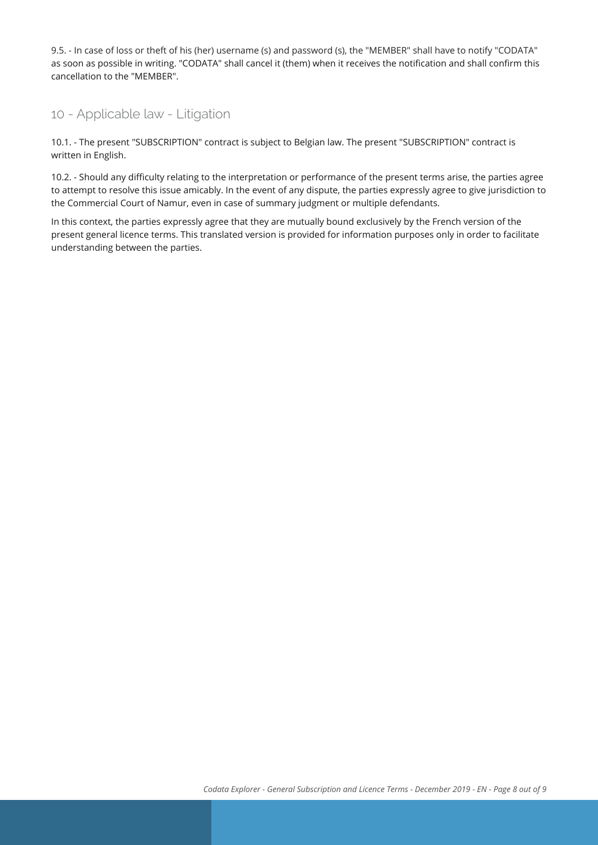9.5. - In case of loss or theft of his (her) username (s) and password (s), the "MEMBER" shall have to notify "CODATA" as soon as possible in writing. "CODATA" shall cancel it (them) when it receives the notification and shall confirm this cancellation to the "MEMBER".

## 10 - Applicable law - Litigation

10.1. - The present "SUBSCRIPTION" contract is subject to Belgian law. The present "SUBSCRIPTION" contract is written in English.

10.2. - Should any difficulty relating to the interpretation or performance of the present terms arise, the parties agree to attempt to resolve this issue amicably. In the event of any dispute, the parties expressly agree to give jurisdiction to the Commercial Court of Namur, even in case of summary judgment or multiple defendants.

In this context, the parties expressly agree that they are mutually bound exclusively by the French version of the present general licence terms. This translated version is provided for information purposes only in order to facilitate understanding between the parties.